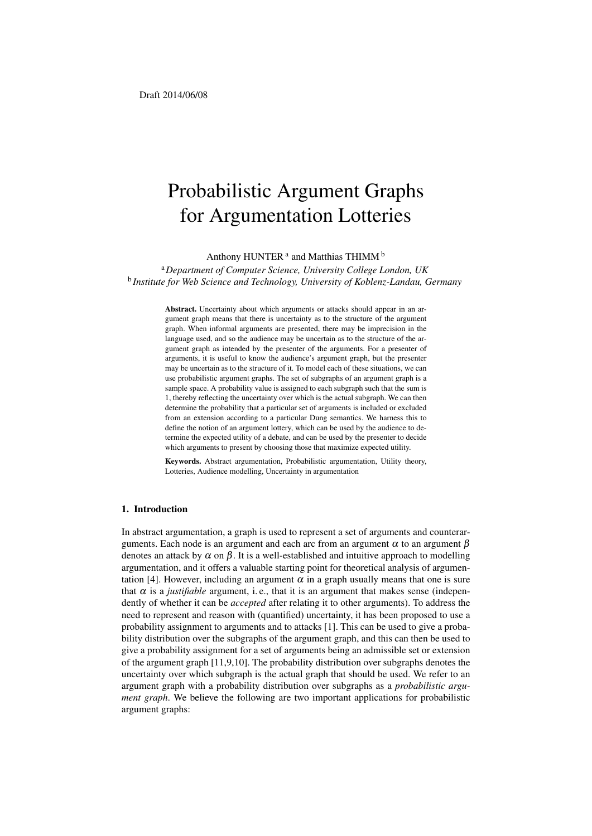# Probabilistic Argument Graphs for Argumentation Lotteries

Anthony HUNTER<sup>a</sup> and Matthias THIMM<sup>b</sup>

<sup>a</sup>*Department of Computer Science, University College London, UK* b *Institute for Web Science and Technology, University of Koblenz-Landau, Germany*

> Abstract. Uncertainty about which arguments or attacks should appear in an argument graph means that there is uncertainty as to the structure of the argument graph. When informal arguments are presented, there may be imprecision in the language used, and so the audience may be uncertain as to the structure of the argument graph as intended by the presenter of the arguments. For a presenter of arguments, it is useful to know the audience's argument graph, but the presenter may be uncertain as to the structure of it. To model each of these situations, we can use probabilistic argument graphs. The set of subgraphs of an argument graph is a sample space. A probability value is assigned to each subgraph such that the sum is 1, thereby reflecting the uncertainty over which is the actual subgraph. We can then determine the probability that a particular set of arguments is included or excluded from an extension according to a particular Dung semantics. We harness this to define the notion of an argument lottery, which can be used by the audience to determine the expected utility of a debate, and can be used by the presenter to decide which arguments to present by choosing those that maximize expected utility.

> Keywords. Abstract argumentation, Probabilistic argumentation, Utility theory, Lotteries, Audience modelling, Uncertainty in argumentation

## 1. Introduction

In abstract argumentation, a graph is used to represent a set of arguments and counterarguments. Each node is an argument and each arc from an argument  $\alpha$  to an argument  $\beta$ denotes an attack by  $\alpha$  on  $\beta$ . It is a well-established and intuitive approach to modelling argumentation, and it offers a valuable starting point for theoretical analysis of argumentation [4]. However, including an argument  $\alpha$  in a graph usually means that one is sure that  $\alpha$  is a *justifiable* argument, i.e., that it is an argument that makes sense (independently of whether it can be *accepted* after relating it to other arguments). To address the need to represent and reason with (quantified) uncertainty, it has been proposed to use a probability assignment to arguments and to attacks [1]. This can be used to give a probability distribution over the subgraphs of the argument graph, and this can then be used to give a probability assignment for a set of arguments being an admissible set or extension of the argument graph [11,9,10]. The probability distribution over subgraphs denotes the uncertainty over which subgraph is the actual graph that should be used. We refer to an argument graph with a probability distribution over subgraphs as a *probabilistic argument graph*. We believe the following are two important applications for probabilistic argument graphs: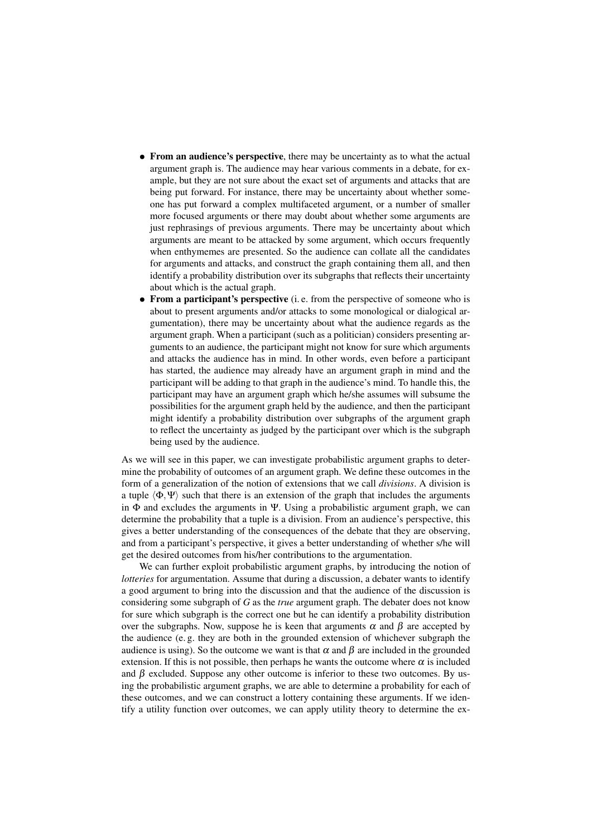- From an audience's perspective, there may be uncertainty as to what the actual argument graph is. The audience may hear various comments in a debate, for example, but they are not sure about the exact set of arguments and attacks that are being put forward. For instance, there may be uncertainty about whether someone has put forward a complex multifaceted argument, or a number of smaller more focused arguments or there may doubt about whether some arguments are just rephrasings of previous arguments. There may be uncertainty about which arguments are meant to be attacked by some argument, which occurs frequently when enthymemes are presented. So the audience can collate all the candidates for arguments and attacks, and construct the graph containing them all, and then identify a probability distribution over its subgraphs that reflects their uncertainty about which is the actual graph.
- From a participant's perspective (i.e. from the perspective of someone who is about to present arguments and/or attacks to some monological or dialogical argumentation), there may be uncertainty about what the audience regards as the argument graph. When a participant (such as a politician) considers presenting arguments to an audience, the participant might not know for sure which arguments and attacks the audience has in mind. In other words, even before a participant has started, the audience may already have an argument graph in mind and the participant will be adding to that graph in the audience's mind. To handle this, the participant may have an argument graph which he/she assumes will subsume the possibilities for the argument graph held by the audience, and then the participant might identify a probability distribution over subgraphs of the argument graph to reflect the uncertainty as judged by the participant over which is the subgraph being used by the audience.

As we will see in this paper, we can investigate probabilistic argument graphs to determine the probability of outcomes of an argument graph. We define these outcomes in the form of a generalization of the notion of extensions that we call *divisions*. A division is a tuple  $\langle \Phi, \Psi \rangle$  such that there is an extension of the graph that includes the arguments in  $\Phi$  and excludes the arguments in Ψ. Using a probabilistic argument graph, we can determine the probability that a tuple is a division. From an audience's perspective, this gives a better understanding of the consequences of the debate that they are observing, and from a participant's perspective, it gives a better understanding of whether s/he will get the desired outcomes from his/her contributions to the argumentation.

We can further exploit probabilistic argument graphs, by introducing the notion of *lotteries* for argumentation. Assume that during a discussion, a debater wants to identify a good argument to bring into the discussion and that the audience of the discussion is considering some subgraph of *G* as the *true* argument graph. The debater does not know for sure which subgraph is the correct one but he can identify a probability distribution over the subgraphs. Now, suppose he is keen that arguments  $\alpha$  and  $\beta$  are accepted by the audience (e. g. they are both in the grounded extension of whichever subgraph the audience is using). So the outcome we want is that  $\alpha$  and  $\beta$  are included in the grounded extension. If this is not possible, then perhaps he wants the outcome where  $\alpha$  is included and  $\beta$  excluded. Suppose any other outcome is inferior to these two outcomes. By using the probabilistic argument graphs, we are able to determine a probability for each of these outcomes, and we can construct a lottery containing these arguments. If we identify a utility function over outcomes, we can apply utility theory to determine the ex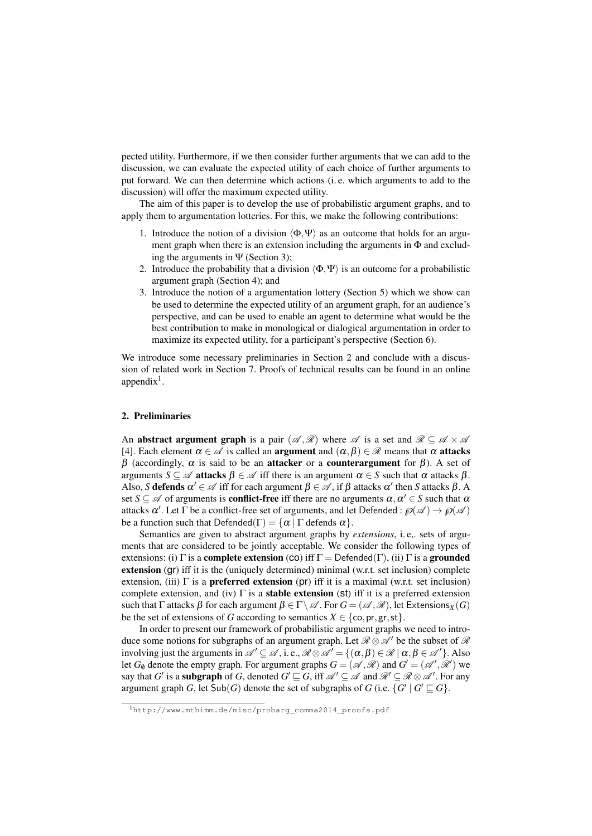pected utility. Furthermore, if we then consider further arguments that we can add to the discussion, we can evaluate the expected utility of each choice of further arguments to put forward. We can then determine which actions (i. e. which arguments to add to the discussion) will offer the maximum expected utility.

The aim of this paper is to develop the use of probabilistic argument graphs, and to apply them to argumentation lotteries. For this, we make the following contributions:

- 1. Introduce the notion of a division  $\langle \Phi, \Psi \rangle$  as an outcome that holds for an argument graph when there is an extension including the arguments in  $\Phi$  and excluding the arguments in  $\Psi$  (Section 3);
- 2. Introduce the probability that a division  $\langle \Phi, \Psi \rangle$  is an outcome for a probabilistic argument graph (Section 4); and
- 3. Introduce the notion of a argumentation lottery (Section 5) which we show can be used to determine the expected utility of an argument graph, for an audience's perspective, and can be used to enable an agent to determine what would be the best contribution to make in monological or dialogical argumentation in order to maximize its expected utility, for a participant's perspective (Section 6).

We introduce some necessary preliminaries in Section 2 and conclude with a discussion of related work in Section 7. Proofs of technical results can be found in an online  $appendix<sup>1</sup>$ .

# 2. Preliminaries

An abstract argument graph is a pair  $(\mathscr{A}, \mathscr{R})$  where  $\mathscr{A}$  is a set and  $\mathscr{R} \subseteq \mathscr{A} \times \mathscr{A}$ [4]. Each element  $\alpha \in \mathcal{A}$  is called an **argument** and  $(\alpha, \beta) \in \mathcal{R}$  means that  $\alpha$  **attacks** β (accordingly,  $\alpha$  is said to be an **attacker** or a **counterargument** for β). A set of arguments  $S \subseteq \mathscr{A}$  attacks  $\beta \in \mathscr{A}$  iff there is an argument  $\alpha \in S$  such that  $\alpha$  attacks  $\beta$ . Also, *S* defends  $\alpha' \in \mathcal{A}$  iff for each argument  $\beta \in \mathcal{A}$ , if  $\beta$  attacks  $\alpha'$  then *S* attacks  $\beta$ . A set  $S \subseteq \mathscr{A}$  of arguments is **conflict-free** iff there are no arguments  $\alpha, \alpha' \in S$  such that  $\alpha$ attacks  $\alpha'$ . Let  $\Gamma$  be a conflict-free set of arguments, and let Defended :  $\wp(\mathscr{A}) \to \wp(\mathscr{A})$ be a function such that  $Defended(\Gamma) = {\alpha | \Gamma}$  defends  $\alpha$ .

Semantics are given to abstract argument graphs by *extensions*, i. e,. sets of arguments that are considered to be jointly acceptable. We consider the following types of extensions: (i)  $\Gamma$  is a **complete extension** (co) iff  $\Gamma$  = Defended( $\Gamma$ ), (ii)  $\Gamma$  is a **grounded** extension (gr) iff it is the (uniquely determined) minimal (w.r.t. set inclusion) complete extension, (iii)  $\Gamma$  is a **preferred extension** (pr) iff it is a maximal (w.r.t. set inclusion) complete extension, and (iv)  $\Gamma$  is a **stable extension** (st) iff it is a preferred extension such that Γ attacks β for each argument  $\beta \in \Gamma \backslash \mathscr{A}$ . For  $G = (\mathscr{A}, \mathscr{R})$ , let Extensions<sub>*X*</sub> (*G*) be the set of extensions of *G* according to semantics  $X \in \{\text{co}, \text{pr}, \text{gr}, \text{st}\}.$ 

In order to present our framework of probabilistic argument graphs we need to introduce some notions for subgraphs of an argument graph. Let  $\mathcal{R} \otimes \mathcal{A}'$  be the subset of  $\mathcal{R}$ involving just the arguments in  $\mathscr{A}' \subseteq \mathscr{A}$ , i.e.,  $\mathscr{R} \otimes \mathscr{A}' = \{(\alpha, \beta) \in \mathscr{R} \mid \alpha, \beta \in \mathscr{A}'\}$ . Also let  $G_{\emptyset}$  denote the empty graph. For argument graphs  $G = (\mathcal{A}, \mathcal{R})$  and  $G' = (\mathcal{A}', \mathcal{R}')$  we say that *G'* is a **subgraph** of *G*, denoted  $G' \sqsubseteq G$ , iff  $\mathscr{A}' \subseteq \mathscr{A}$  and  $\mathscr{R}' \subseteq \mathscr{R} \otimes \mathscr{A}'$ . For any argument graph *G*, let  $\textsf{Sub}(G)$  denote the set of subgraphs of *G* (i.e.  $\{G' \mid G' \sqsubseteq G\}$ .

<sup>1</sup>http://www.mthimm.de/misc/probarg\_comma2014\_proofs.pdf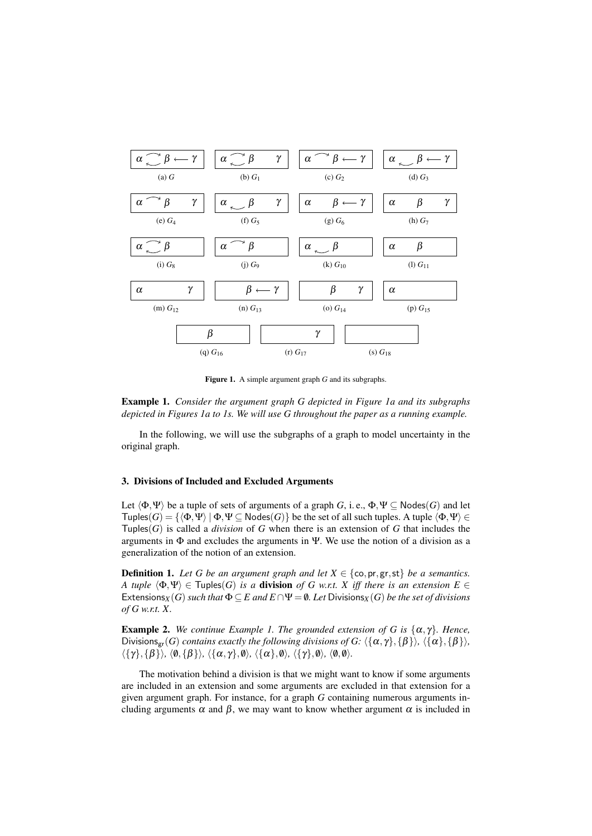

Figure 1. A simple argument graph *G* and its subgraphs.

Example 1. *Consider the argument graph G depicted in Figure 1a and its subgraphs depicted in Figures 1a to 1s. We will use G throughout the paper as a running example.*

In the following, we will use the subgraphs of a graph to model uncertainty in the original graph.

#### 3. Divisions of Included and Excluded Arguments

Let  $\langle \Phi, \Psi \rangle$  be a tuple of sets of arguments of a graph *G*, i. e.,  $\Phi, \Psi \subseteq \text{Nodes}(G)$  and let  $Tuples(G) = {\langle \Phi, \Psi \rangle | \Phi, \Psi \subseteq Nodes(G)}$  be the set of all such tuples. A tuple  $\langle \Phi, \Psi \rangle \in$ Tuples( $G$ ) is called a *division* of  $G$  when there is an extension of  $G$  that includes the arguments in  $\Phi$  and excludes the arguments in Ψ. We use the notion of a division as a generalization of the notion of an extension.

**Definition 1.** Let G be an argument graph and let  $X \in \{\text{co}, \text{pr}, \text{gr}, \text{st}\}\$  be a semantics. *A tuple*  $\langle \Phi, \Psi \rangle \in \text{Tuples}(G)$  *is a* division *of G w.r.t. X iff there is an extension*  $E \in$ Extensions<sub>*X*</sub>(*G*) *such that*  $\Phi \subseteq E$  *and*  $E \cap \Psi = \emptyset$ . Let Divisions<sub>*X*</sub>(*G*) *be the set of divisions of G w.r.t. X.*

**Example 2.** *We continue Example 1. The grounded extension of G is*  $\{\alpha, \gamma\}$ *. Hence,* Divisions<sub>gr</sub>(*G*) *contains exactly the following divisions of G:*  $\langle {\{\alpha, \gamma\}, \{\beta\}\rangle, \langle {\{\alpha\}, \{\beta\}\rangle},\ \langle {\{\alpha\}, \{\beta\}\rangle}$  $\langle \{\gamma\},\{\beta\}\rangle$ ,  $\langle \emptyset,\{\beta\}\rangle$ ,  $\langle \{\alpha,\gamma\},\emptyset\rangle$ ,  $\langle \{\alpha\},\emptyset\rangle$ ,  $\langle \{\gamma\},\emptyset\rangle$ ,  $\langle \emptyset,\emptyset\rangle$ .

The motivation behind a division is that we might want to know if some arguments are included in an extension and some arguments are excluded in that extension for a given argument graph. For instance, for a graph *G* containing numerous arguments including arguments  $\alpha$  and  $\beta$ , we may want to know whether argument  $\alpha$  is included in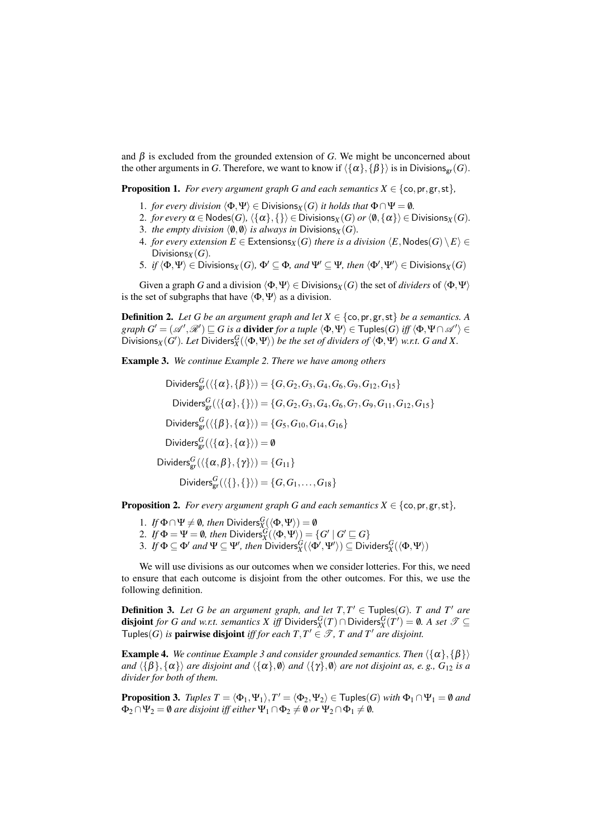and  $\beta$  is excluded from the grounded extension of *G*. We might be unconcerned about the other arguments in *G*. Therefore, we want to know if  $\langle {\{\alpha\}, {\{\beta\}}}\rangle$  is in Divisions<sub>gr</sub>(*G*).

**Proposition 1.** *For every argument graph G and each semantics*  $X \in \{\text{co}, \text{pr}, \text{gr}, \text{st}\},\$ 

- 1. *for every division*  $\langle \Phi, \Psi \rangle \in Divisions_X(G)$  *it holds that*  $\Phi \cap \Psi = \emptyset$ *.*
- 2. *for every*  $\alpha \in \text{Nodes}(G)$ ,  $\{\{\alpha\},\{\}\}\in \text{Divisions}_X(G)$  *or*  $\langle \emptyset, \{\alpha\}\rangle \in \text{Divisions}_X(G)$ .
- 3. *the empty division*  $\langle \emptyset, \emptyset \rangle$  *is always in* Divisions<sub>*X*</sub> (*G*).
- 4. *for every extension*  $E \in$  Extensions<sub>*X*</sub>(*G*) *there is a division*  $\langle E, \text{Nodes}(G) \setminus E \rangle \in$ Divisions $_X(G)$ .
- 5. *if*  $\langle \Phi, \Psi \rangle \in \text{Divisions}_X(G)$ ,  $\Phi' \subseteq \Phi$ , and  $\Psi' \subseteq \Psi$ , then  $\langle \Phi', \Psi' \rangle \in \text{Divisions}_X(G)$

Given a graph *G* and a division  $\langle \Phi, \Psi \rangle \in \text{Divisions}_X(G)$  the set of *dividers* of  $\langle \Phi, \Psi \rangle$ is the set of subgraphs that have  $\langle \Phi, \Psi \rangle$  as a division.

**Definition 2.** Let G be an argument graph and let  $X \in \{\text{co}, \text{pr}, \text{gr}, \text{st}\}\$  be a semantics. A  $graph G' = (\mathscr{A}', \mathscr{R}') \sqsubseteq G$  is a **divider** *for a tuple*  $\langle \Phi, \Psi \rangle \in \mathsf{Tuples}(G)$  *iff*  $\langle \Phi, \Psi \cap \mathscr{A}' \rangle \in$  $\overline{D}$ ivisions<sub>*X*</sub>(*G'*). Let  $\overline{D}$ ividers ${}^G_X(\langle \Phi, \Psi \rangle)$  *be the set of dividers of*  $\langle \Phi, \Psi \rangle$  *w.r.t. G and X.* 

Example 3. *We continue Example 2. There we have among others*

 $Dividers^G_{\text{gr}}(\{\{\alpha\},\{\beta\}\}) = \{G,G_2,G_3,G_4,G_6,G_9,G_{12},G_{15}\}$  $Dividers^G_{\text{gr}}(\langle {\{\alpha\},\{\}} \rangle) = \{G,G_2,G_3,G_4,G_6,G_7,G_9,G_{11},G_{12},G_{15}\}$  $Dividers^{G}_{\textrm{gr}}(\langle \{\beta \}, \{\alpha \} \rangle) = \{ G_5, G_{10}, G_{14}, G_{16} \}$ Dividers ${}_{\text{gr}}^G(\langle {\{\alpha\},\{\alpha\}\rangle}) = \emptyset$  $\mathsf{Dividers}_{\mathsf{gr}}^G(\langle \{\alpha,\beta\},\{\gamma\}\rangle) = \{G_{11}\}$  $Dividers^G_{\text{gr}}(\langle \{\},\{\}\rangle) = \{G,G_1,\ldots,G_{18}\}$ 

**Proposition 2.** *For every argument graph G and each semantics*  $X \in \{\text{co}, \text{pr}, \text{gr}, \text{st}\},\$ 

- 1. *If*  $\Phi \cap \Psi \neq \emptyset$ , then Dividers $\mathcal{S}_{X}^{G}(\langle \Phi, \Psi \rangle) = \emptyset$
- 2. *If*  $\Phi = \Psi = \emptyset$ , then Dividers $\overline{G}(\langle \Phi, \Psi \rangle) = \{G' \mid G' \sqsubseteq G\}$
- $3.$  *If*  $\Phi \subseteq \Phi'$  *and*  $\Psi \subseteq \Psi'$ , then Dividers ${}_{X}^G(\langle \Phi', \Psi' \rangle) \subseteq$  Dividers ${}_{X}^G(\langle \Phi, \Psi \rangle)$

We will use divisions as our outcomes when we consider lotteries. For this, we need to ensure that each outcome is disjoint from the other outcomes. For this, we use the following definition.

**Definition 3.** Let G be an argument graph, and let  $T, T' \in \text{Tuples}(G)$ . T and T' are disjoint *for G and w.r.t. semantics X iff* Dividers ${}^G_X(T) \cap$  Dividers ${}^G_X(T') = \emptyset$ . A set  $\mathscr{T} \subseteq$ Tuples(*G*) *is* **pairwise disjoint** *iff for each*  $T, T' \in \mathcal{T}$ ,  $T$  *and*  $T'$  *are disjoint.* 

**Example 4.** *We continue Example 3 and consider grounded semantics. Then*  $\langle {\alpha} \rangle, {\beta} \rangle$ *and*  $\langle \{\beta\}, \{\alpha\} \rangle$  *are disjoint and*  $\langle \{\alpha\}, \emptyset \rangle$  *and*  $\langle \{\gamma\}, \emptyset \rangle$  *are not disjoint as, e. g., G*<sub>12</sub> *is a divider for both of them.*

**Proposition 3.** *Tuples*  $T = \langle \Phi_1, \Psi_1 \rangle$ ,  $T' = \langle \Phi_2, \Psi_2 \rangle \in \text{Tuples}(G)$  *with*  $\Phi_1 \cap \Psi_1 = \emptyset$  *and*  $\Phi_2 \cap \Psi_2 = \emptyset$  are disjoint iff either  $\Psi_1 \cap \Phi_2 \neq \emptyset$  or  $\Psi_2 \cap \Phi_1 \neq \emptyset$ .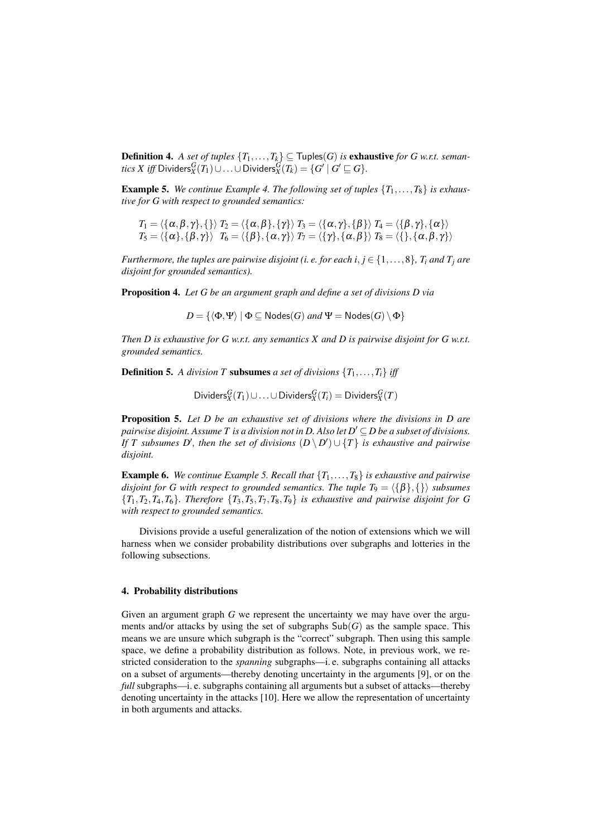Definition 4. A set of tuples  $\{T_1, \ldots, T_k\} \subseteq \textsf{Tuples}(G)$  is exhaustive for G w.r.t. seman- $\iota$ *ics X iff* Dividers ${}^G_X(T_1)\cup\ldots\cup$  Dividers ${}^G_X(T_k)=\{G^\prime\mid G^\prime\sqsubseteq G\}.$ 

**Example 5.** We continue Example 4. The following set of tuples  $\{T_1, \ldots, T_8\}$  is exhaus*tive for G with respect to grounded semantics:*

$$
T_1 = \langle \{\alpha, \beta, \gamma\}, \{\} \rangle \ T_2 = \langle \{\alpha, \beta\}, \{\gamma\} \rangle \ T_3 = \langle \{\alpha, \gamma\}, \{\beta\} \rangle \ T_4 = \langle \{\beta, \gamma\}, \{\alpha\} \rangle \ T_5 = \langle \{\alpha\}, \{\beta, \gamma\} \rangle \ T_6 = \langle \{\beta\}, \{\alpha, \gamma\} \rangle \ T_7 = \langle \{\gamma\}, \{\alpha, \beta\} \rangle \ T_8 = \langle \{\}, \{\alpha, \beta, \gamma\} \rangle
$$

*Furthermore, the tuples are pairwise disjoint (i. e. for each i,*  $j \in \{1, \ldots, 8\}$ *,*  $T_i$  *and*  $T_j$  *are disjoint for grounded semantics).*

Proposition 4. *Let G be an argument graph and define a set of divisions D via*

 $D = \{ \langle \Phi, \Psi \rangle \mid \Phi \subseteq \mathsf{Nodes}(G) \text{ and } \Psi = \mathsf{Nodes}(G) \setminus \Phi \}$ 

*Then D is exhaustive for G w.r.t. any semantics X and D is pairwise disjoint for G w.r.t. grounded semantics.*

**Definition 5.** A division T subsumes a set of divisions  $\{T_1, \ldots, T_i\}$  iff

 $\text{Dividers}_X^G(T_1) \cup \ldots \cup \text{Dividers}_X^G(T_i) = \text{Dividers}_X^G(T)$ 

Proposition 5. *Let D be an exhaustive set of divisions where the divisions in D are pairwise disjoint. Assume T is a division not in D. Also let*  $D' \subseteq D$  *be a subset of divisions. If T* subsumes  $D'$ , then the set of divisions  $(D \setminus D') \cup \{T\}$  is exhaustive and pairwise *disjoint.*

**Example 6.** We continue Example 5. Recall that  $\{T_1, \ldots, T_8\}$  is exhaustive and pairwise *disjoint for G with respect to grounded semantics. The tuple T*<sub>9</sub> =  $\langle {\beta \}, {\{\}} \rangle$  *subsumes*  ${T_1, T_2, T_4, T_6}$ *. Therefore*  ${T_3, T_5, T_7, T_8, T_9}$  *is exhaustive and pairwise disjoint for G with respect to grounded semantics.*

Divisions provide a useful generalization of the notion of extensions which we will harness when we consider probability distributions over subgraphs and lotteries in the following subsections.

# 4. Probability distributions

Given an argument graph *G* we represent the uncertainty we may have over the arguments and/or attacks by using the set of subgraphs  $\text{Sub}(G)$  as the sample space. This means we are unsure which subgraph is the "correct" subgraph. Then using this sample space, we define a probability distribution as follows. Note, in previous work, we restricted consideration to the *spanning* subgraphs—i. e. subgraphs containing all attacks on a subset of arguments—thereby denoting uncertainty in the arguments [9], or on the *full* subgraphs—i. e. subgraphs containing all arguments but a subset of attacks—thereby denoting uncertainty in the attacks [10]. Here we allow the representation of uncertainty in both arguments and attacks.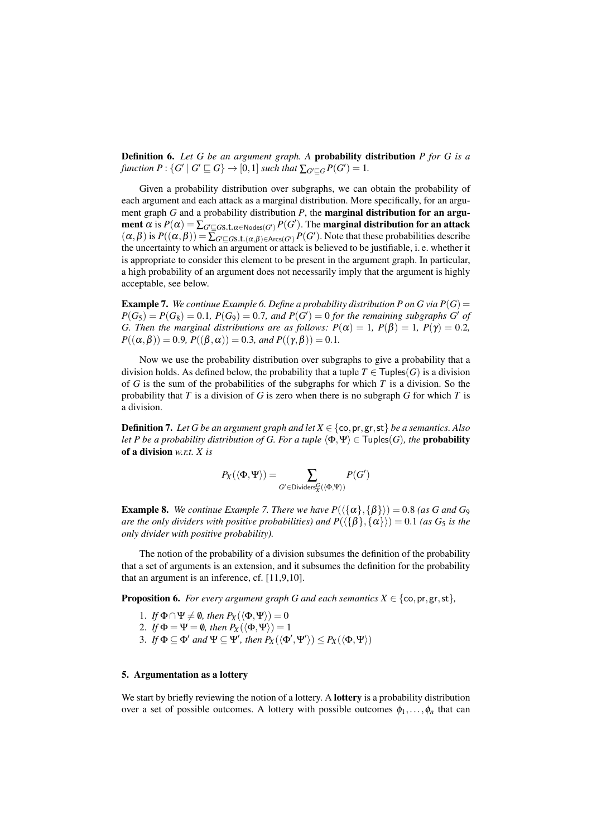Definition 6. *Let G be an argument graph. A* probability distribution *P for G is a* function  $P: \{G' \mid G' \sqsubseteq G\} \rightarrow [0,1]$  such that  $\sum_{G' \sqsubseteq G} P(G') = 1$ .

Given a probability distribution over subgraphs, we can obtain the probability of each argument and each attack as a marginal distribution. More specifically, for an argument graph *G* and a probability distribution *P*, the marginal distribution for an argument  $\alpha$  is  $P(\alpha) = \sum_{G' \sqsubseteq G \text{s.t. } \alpha \in \text{Nodes}(G')} P(G')$ . The marginal distribution for an attack  $(\alpha, \beta)$  is  $P((\alpha, \beta)) = \sum_{G' \subseteq G} f(f, \alpha, \beta) \in \text{Arcs}(G')$ . Note that these probabilities describe the uncertainty to which an argument or attack is believed to be justifiable, i.e. whether it is appropriate to consider this element to be present in the argument graph. In particular, a high probability of an argument does not necessarily imply that the argument is highly acceptable, see below.

**Example 7.** We continue Example 6. Define a probability distribution P on G via  $P(G)$  =  $P(G_5) = P(G_8) = 0.1$ ,  $P(G_9) = 0.7$ , and  $P(G') = 0$  for the remaining subgraphs  $G'$  of *G. Then the marginal distributions are as follows:*  $P(\alpha) = 1$ ,  $P(\beta) = 1$ ,  $P(\gamma) = 0.2$ ,  $P((\alpha, \beta)) = 0.9$ *,*  $P((\beta, \alpha)) = 0.3$ *, and*  $P((\gamma, \beta)) = 0.1$ *.* 

Now we use the probability distribution over subgraphs to give a probability that a division holds. As defined below, the probability that a tuple  $T \in \text{Tuples}(G)$  is a division of *G* is the sum of the probabilities of the subgraphs for which *T* is a division. So the probability that *T* is a division of *G* is zero when there is no subgraph *G* for which *T* is a division.

**Definition 7.** Let G be an argument graph and let  $X \in \{\text{co}, \text{pr}, \text{gr}, \text{st}\}\$  be a semantics. Also *let P be a probability distribution of G. For a tuple*  $\langle \Phi, \Psi \rangle \in \text{Tuples}(G)$ *, the* **probability** of a division *w.r.t. X is*

$$
P_X(\langle \Phi, \Psi \rangle) = \sum_{G' \in \text{Dividers}_X^G(\langle \Phi, \Psi \rangle)} P(G')
$$

**Example 8.** We continue Example 7. There we have  $P(\{\{\alpha\},\{\beta\}\}) = 0.8$  (as G and G<sub>9</sub>) *are the only dividers with positive probabilities) and*  $P(\langle \{\beta\}, \{\alpha\}\rangle) = 0.1$  *(as*  $G_5$  *is the only divider with positive probability).*

The notion of the probability of a division subsumes the definition of the probability that a set of arguments is an extension, and it subsumes the definition for the probability that an argument is an inference, cf. [11,9,10].

**Proposition 6.** *For every argument graph G and each semantics*  $X \in \{\text{co}, \text{pr}, \text{gr}, \text{st}\}\$ 

- 1. *If*  $\Phi \cap \Psi \neq \emptyset$ , then  $P_X(\langle \Phi, \Psi \rangle) = 0$
- 2. *If*  $\Phi = \Psi = \emptyset$ *, then*  $P_X(\langle \Phi, \Psi \rangle) = 1$
- 3. If  $\Phi \subseteq \Phi'$  and  $\Psi \subseteq \Psi'$ , then  $P_X(\langle \Phi', \Psi' \rangle) \le P_X(\langle \Phi, \Psi \rangle)$

# 5. Argumentation as a lottery

We start by briefly reviewing the notion of a lottery. A **lottery** is a probability distribution over a set of possible outcomes. A lottery with possible outcomes  $\phi_1, \ldots, \phi_n$  that can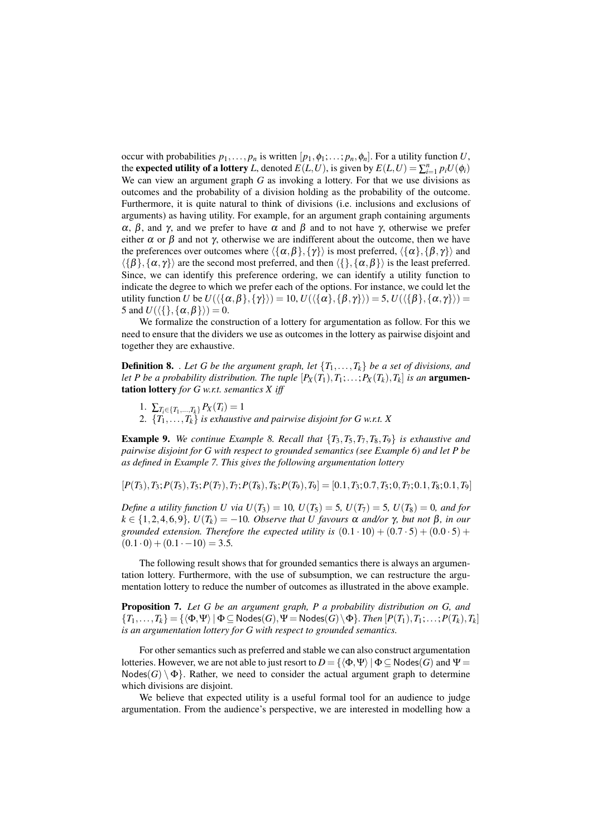occur with probabilities  $p_1, \ldots, p_n$  is written  $[p_1, \phi_1; \ldots; p_n, \phi_n]$ . For a utility function *U*, the **expected utility of a lottery** *L*, denoted  $E(L, U)$ , is given by  $E(L, U) = \sum_{i=1}^{n} p_i U(\phi_i)$ We can view an argument graph *G* as invoking a lottery. For that we use divisions as outcomes and the probability of a division holding as the probability of the outcome. Furthermore, it is quite natural to think of divisions (i.e. inclusions and exclusions of arguments) as having utility. For example, for an argument graph containing arguments α, β, and γ, and we prefer to have  $\alpha$  and β and to not have γ, otherwise we prefer either  $\alpha$  or  $\beta$  and not  $\gamma$ , otherwise we are indifferent about the outcome, then we have the preferences over outcomes where  $\langle {\{\alpha, \beta\}, \{\gamma\}} \rangle$  is most preferred,  $\langle {\{\alpha\}, \{\beta, \gamma\}} \rangle$  and  $\langle \{\beta\}, {\{\alpha, \gamma\}} \rangle$  are the second most preferred, and then  $\langle \{\}, {\{\alpha, \beta\}} \rangle$  is the least preferred. Since, we can identify this preference ordering, we can identify a utility function to indicate the degree to which we prefer each of the options. For instance, we could let the utility function *U* be  $U(\{\{\alpha,\beta\},\{\gamma\}\}) = 10$ ,  $U(\{\{\alpha\},\{\beta,\gamma\}\}) = 5$ ,  $U(\{\{\beta\},\{\alpha,\gamma\}\}) =$ 5 and  $U(\langle \{\}, \{\alpha, \beta\}\rangle) = 0$ .

We formalize the construction of a lottery for argumentation as follow. For this we need to ensure that the dividers we use as outcomes in the lottery as pairwise disjoint and together they are exhaustive.

**Definition 8.** *. Let G be the argument graph, let*  $\{T_1, \ldots, T_k\}$  *be a set of divisions, and let P be a probability distribution. The tuple*  $[P_X(T_1), T_1; \ldots; P_X(T_k), T_k]$  *is an* **argumen**tation lottery *for G w.r.t. semantics X iff*

- 1.  $\sum_{T_i \in \{T_1, \ldots, T_k\}} P_X(T_i) = 1$
- 2. {*T*1,...,*Tk*} *is exhaustive and pairwise disjoint for G w.r.t. X*

Example 9. *We continue Example 8. Recall that* {*T*3,*T*5,*T*7,*T*8,*T*9} *is exhaustive and pairwise disjoint for G with respect to grounded semantics (see Example 6) and let P be as defined in Example 7. This gives the following argumentation lottery*

 $[P(T_3), T_3; P(T_5), T_5; P(T_7), T_7; P(T_8), T_8; P(T_9), T_9] = [0.1, T_3; 0.7, T_5; 0.7, T_5; 0.1, T_8; 0.1, T_9]$ 

*Define a utility function U via*  $U(T_3) = 10$ *,*  $U(T_5) = 5$ *,*  $U(T_7) = 5$ *,*  $U(T_8) = 0$ *, and for*  $k \in \{1, 2, 4, 6, 9\}$ ,  $U(T_k) = -10$ *. Observe that U favours*  $\alpha$  *and/or*  $\gamma$ *, but not*  $\beta$ *, in our grounded extension. Therefore the expected utility is*  $(0.1 \cdot 10) + (0.7 \cdot 5) + (0.0 \cdot 5) +$  $(0.1 \cdot 0) + (0.1 \cdot -10) = 3.5.$ 

The following result shows that for grounded semantics there is always an argumentation lottery. Furthermore, with the use of subsumption, we can restructure the argumentation lottery to reduce the number of outcomes as illustrated in the above example.

Proposition 7. *Let G be an argument graph, P a probability distribution on G, and*  $\{T_1,\ldots,T_k\} = \{\langle \Phi,\Psi \rangle \mid \Phi \subseteq \mathsf{Nodes}(G), \Psi = \mathsf{Nodes}(G) \setminus \Phi\}$ . Then  $[P(T_1), T_1; \ldots; P(T_k), T_k]$ *is an argumentation lottery for G with respect to grounded semantics.*

For other semantics such as preferred and stable we can also construct argumentation lotteries. However, we are not able to just resort to  $D = {\langle \Phi, \Psi \rangle | \Phi \subseteq \mathsf{Nodes}(G) \text{ and } \Psi =$  $N$ odes $(G) \setminus \Phi$ . Rather, we need to consider the actual argument graph to determine which divisions are disjoint.

We believe that expected utility is a useful formal tool for an audience to judge argumentation. From the audience's perspective, we are interested in modelling how a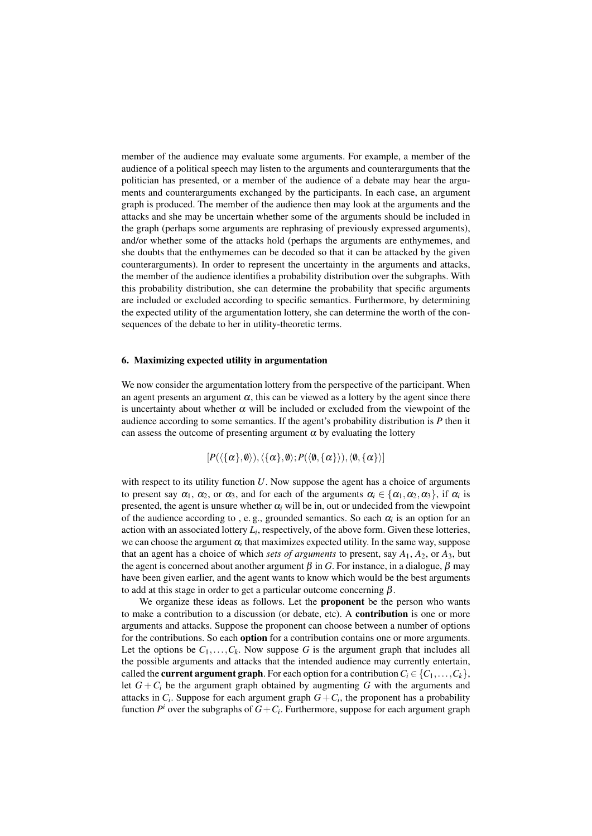member of the audience may evaluate some arguments. For example, a member of the audience of a political speech may listen to the arguments and counterarguments that the politician has presented, or a member of the audience of a debate may hear the arguments and counterarguments exchanged by the participants. In each case, an argument graph is produced. The member of the audience then may look at the arguments and the attacks and she may be uncertain whether some of the arguments should be included in the graph (perhaps some arguments are rephrasing of previously expressed arguments), and/or whether some of the attacks hold (perhaps the arguments are enthymemes, and she doubts that the enthymemes can be decoded so that it can be attacked by the given counterarguments). In order to represent the uncertainty in the arguments and attacks, the member of the audience identifies a probability distribution over the subgraphs. With this probability distribution, she can determine the probability that specific arguments are included or excluded according to specific semantics. Furthermore, by determining the expected utility of the argumentation lottery, she can determine the worth of the consequences of the debate to her in utility-theoretic terms.

#### 6. Maximizing expected utility in argumentation

We now consider the argumentation lottery from the perspective of the participant. When an agent presents an argument  $\alpha$ , this can be viewed as a lottery by the agent since there is uncertainty about whether  $\alpha$  will be included or excluded from the viewpoint of the audience according to some semantics. If the agent's probability distribution is *P* then it can assess the outcome of presenting argument  $\alpha$  by evaluating the lottery

$$
[P(\langle {\alpha}{\rangle},\emptyset\rangle),\langle {\alpha}{\rangle},\emptyset\rangle;P(\langle \emptyset,{\alpha}\rangle\rangle),\langle \emptyset,{\alpha}\rangle\rangle]
$$

with respect to its utility function *U*. Now suppose the agent has a choice of arguments to present say  $\alpha_1$ ,  $\alpha_2$ , or  $\alpha_3$ , and for each of the arguments  $\alpha_i \in \{\alpha_1, \alpha_2, \alpha_3\}$ , if  $\alpha_i$  is presented, the agent is unsure whether  $\alpha_i$  will be in, out or undecided from the viewpoint of the audience according to, e.g., grounded semantics. So each  $\alpha_i$  is an option for an action with an associated lottery  $L_i$ , respectively, of the above form. Given these lotteries, we can choose the argument  $\alpha_i$  that maximizes expected utility. In the same way, suppose that an agent has a choice of which *sets of arguments* to present, say *A*1, *A*2, or *A*3, but the agent is concerned about another argument  $\beta$  in *G*. For instance, in a dialogue,  $\beta$  may have been given earlier, and the agent wants to know which would be the best arguments to add at this stage in order to get a particular outcome concerning  $\beta$ .

We organize these ideas as follows. Let the **proponent** be the person who wants to make a contribution to a discussion (or debate, etc). A contribution is one or more arguments and attacks. Suppose the proponent can choose between a number of options for the contributions. So each **option** for a contribution contains one or more arguments. Let the options be  $C_1, \ldots, C_k$ . Now suppose G is the argument graph that includes all the possible arguments and attacks that the intended audience may currently entertain, called the **current argument graph**. For each option for a contribution  $C_i \in \{C_1, \ldots, C_k\}$ , let  $G + C_i$  be the argument graph obtained by augmenting G with the arguments and attacks in  $C_i$ . Suppose for each argument graph  $G + C_i$ , the proponent has a probability function  $P^i$  over the subgraphs of  $G + C_i$ . Furthermore, suppose for each argument graph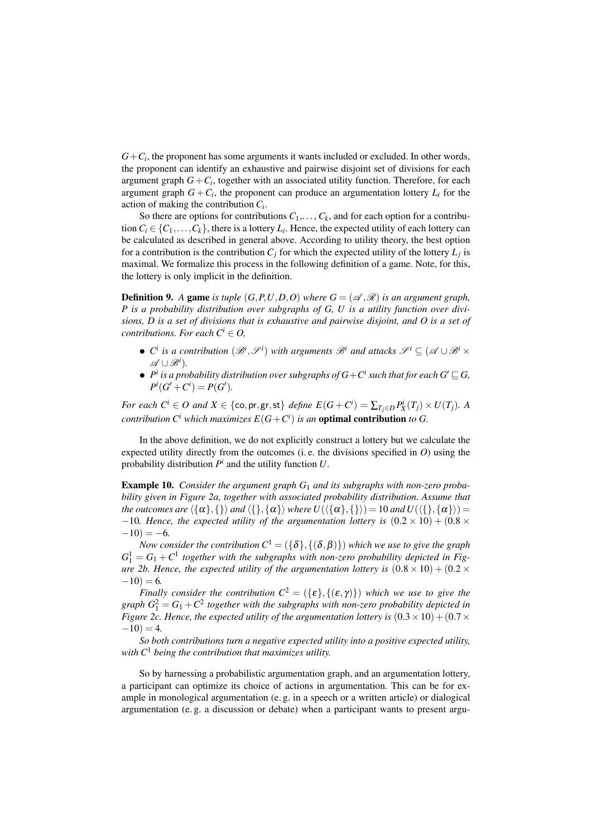$G + C_i$ , the proponent has some arguments it wants included or excluded. In other words, the proponent can identify an exhaustive and pairwise disjoint set of divisions for each argument graph  $G + C_i$ , together with an associated utility function. Therefore, for each argument graph  $G + C_i$ , the proponent can produce an argumentation lottery  $L_i$  for the action of making the contribution *C<sup>i</sup>* .

So there are options for contributions  $C_1, \ldots, C_k$ , and for each option for a contribution  $C_i \in \{C_1, \ldots, C_k\}$ , there is a lottery  $L_i$ . Hence, the expected utility of each lottery can be calculated as described in general above. According to utility theory, the best option for a contribution is the contribution  $C_j$  for which the expected utility of the lottery  $L_j$  is maximal. We formalize this process in the following definition of a game. Note, for this, the lottery is only implicit in the definition.

**Definition 9.** A game is tuple  $(G, P, U, D, O)$  where  $G = (\mathcal{A}, \mathcal{R})$  is an argument graph, *P is a probability distribution over subgraphs of G, U is a utility function over divisions, D is a set of divisions that is exhaustive and pairwise disjoint, and O is a set of contributions. For each*  $C^i \in O$ ,

- $\bullet$  *C*<sup>*i*</sup> *is a contribution*  $(\mathscr{B}^i, \mathscr{S}^i)$  *with arguments*  $\mathscr{B}^i$  *and attacks*  $\mathscr{S}^i \subseteq (\mathscr{A} \cup \mathscr{B}^i \times \mathscr{S}^i)$ A ∪B*<sup>i</sup>* )*.*
- $\bullet$   $P^i$  is a probability distribution over subgraphs of  $G+C^i$  such that for each  $G'\sqsubseteq G$ ,  $P^i(G' + C^i) = P(G').$

*For each*  $C^i \in O$  *and*  $X \in \{\textsf{co}, \textsf{pr}, \textsf{gr}, \textsf{st}\}$  *define*  $E(G + C^i) = \sum_{T_j \in D} P_X^i(T_j) \times U(T_j)$ *. A contribution*  $C^i$  *which maximizes*  $E(G+C^i)$  *is an* **optimal contribution** to G.

In the above definition, we do not explicitly construct a lottery but we calculate the expected utility directly from the outcomes (i. e. the divisions specified in *O*) using the probability distribution  $P^i$  and the utility function  $U$ .

Example 10. *Consider the argument graph G*<sup>1</sup> *and its subgraphs with non-zero probability given in Figure 2a, together with associated probability distribution. Assume that the outcomes are*  $\langle {\{\alpha\},\{\}\rangle}$  *and*  $\langle {\{\}, {\{\alpha\}\rangle} \rangle$  *where U*( $\langle {\{\alpha\},\{\}\rangle}$ ) = 10 *and U*( $\langle {\{\}, {\{\alpha\}\rangle} \rangle$ ) =  $-10$ *. Hence, the expected utility of the argumentation lottery is*  $(0.2 \times 10) + (0.8 \times 10)$  $-10$ ) =  $-6$ .

*Now consider the contribution*  $C^1 = (\{\delta\}, \{(\delta, \beta)\})$  *which we use to give the graph*  $G_1^1 = G_1 + C^1$  together with the subgraphs with non-zero probability depicted in Fig*ure 2b. Hence, the expected utility of the argumentation lottery is*  $(0.8 \times 10) + (0.2 \times$  $-10$ ) = 6.

*Finally consider the contribution*  $C^2 = (\{\varepsilon\}, {\{\varepsilon, \gamma\}})$  *which we use to give the*  $graph G_1^2 = G_1 + C^2$  together with the subgraphs with non-zero probability depicted in *Figure 2c. Hence, the expected utility of the argumentation lottery is*  $(0.3 \times 10) + (0.7 \times$  $-10$ ) = 4.

*So both contributions turn a negative expected utility into a positive expected utility, with C*<sup>1</sup> *being the contribution that maximizes utility.*

So by harnessing a probabilistic argumentation graph, and an argumentation lottery, a participant can optimize its choice of actions in argumentation. This can be for example in monological argumentation (e. g. in a speech or a written article) or dialogical argumentation (e. g. a discussion or debate) when a participant wants to present argu-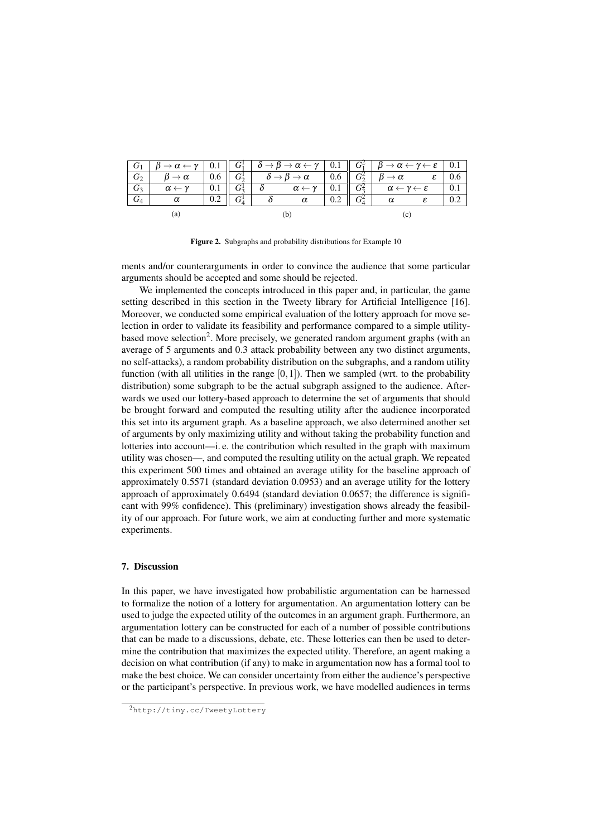| $G_2$ | $\beta \to \alpha$         | $0.6$ |         | $G_2^1$ $\delta \rightarrow \beta \rightarrow \alpha$ |                            | $0.6\,$ | $G_2^2$ | $\beta \rightarrow \alpha$                        |  |  |
|-------|----------------------------|-------|---------|-------------------------------------------------------|----------------------------|---------|---------|---------------------------------------------------|--|--|
| $G_3$ | $\alpha \leftarrow \gamma$ |       |         |                                                       | $\alpha \leftarrow \gamma$ | 0.1     | $G_2^2$ | $\alpha \leftarrow \gamma \leftarrow \varepsilon$ |  |  |
| $G_4$ |                            | 0.2   | $G^1_4$ |                                                       | $\alpha$                   |         | $G^2_4$ |                                                   |  |  |
|       | (a)                        |       |         |                                                       |                            |         |         |                                                   |  |  |

Figure 2. Subgraphs and probability distributions for Example 10

ments and/or counterarguments in order to convince the audience that some particular arguments should be accepted and some should be rejected.

We implemented the concepts introduced in this paper and, in particular, the game setting described in this section in the Tweety library for Artificial Intelligence [16]. Moreover, we conducted some empirical evaluation of the lottery approach for move selection in order to validate its feasibility and performance compared to a simple utilitybased move selection<sup>2</sup>. More precisely, we generated random argument graphs (with an average of 5 arguments and 0.3 attack probability between any two distinct arguments, no self-attacks), a random probability distribution on the subgraphs, and a random utility function (with all utilities in the range  $[0,1]$ ). Then we sampled (wrt. to the probability distribution) some subgraph to be the actual subgraph assigned to the audience. Afterwards we used our lottery-based approach to determine the set of arguments that should be brought forward and computed the resulting utility after the audience incorporated this set into its argument graph. As a baseline approach, we also determined another set of arguments by only maximizing utility and without taking the probability function and lotteries into account—i. e. the contribution which resulted in the graph with maximum utility was chosen—, and computed the resulting utility on the actual graph. We repeated this experiment 500 times and obtained an average utility for the baseline approach of approximately 0.5571 (standard deviation 0.0953) and an average utility for the lottery approach of approximately 0.6494 (standard deviation 0.0657; the difference is significant with 99% confidence). This (preliminary) investigation shows already the feasibility of our approach. For future work, we aim at conducting further and more systematic experiments.

# 7. Discussion

In this paper, we have investigated how probabilistic argumentation can be harnessed to formalize the notion of a lottery for argumentation. An argumentation lottery can be used to judge the expected utility of the outcomes in an argument graph. Furthermore, an argumentation lottery can be constructed for each of a number of possible contributions that can be made to a discussions, debate, etc. These lotteries can then be used to determine the contribution that maximizes the expected utility. Therefore, an agent making a decision on what contribution (if any) to make in argumentation now has a formal tool to make the best choice. We can consider uncertainty from either the audience's perspective or the participant's perspective. In previous work, we have modelled audiences in terms

<sup>2</sup>http://tiny.cc/TweetyLottery